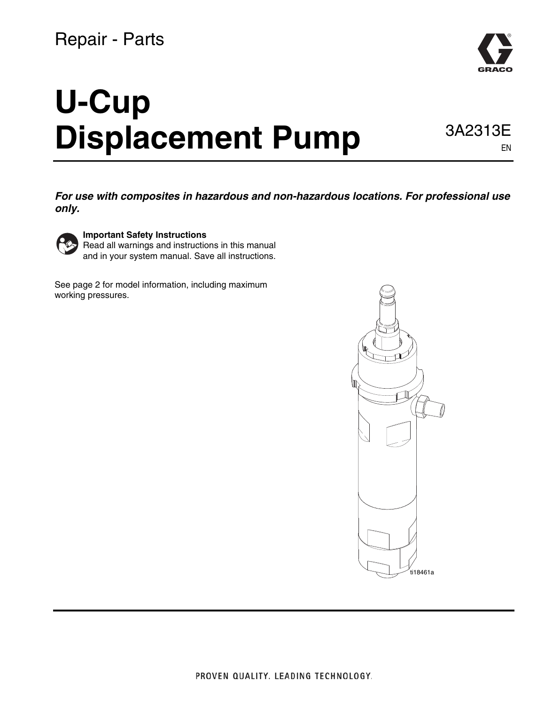### Repair - Parts

# **U-Cup Displacement Pump** 3A2313E

EN

*For use with composites in hazardous and non-hazardous locations. For professional use only.*



**Important Safety Instructions**

Read all warnings and instructions in this manual and in your system manual. Save all instructions.

See page [2](#page-1-0) for model information, including maximum working pressures.



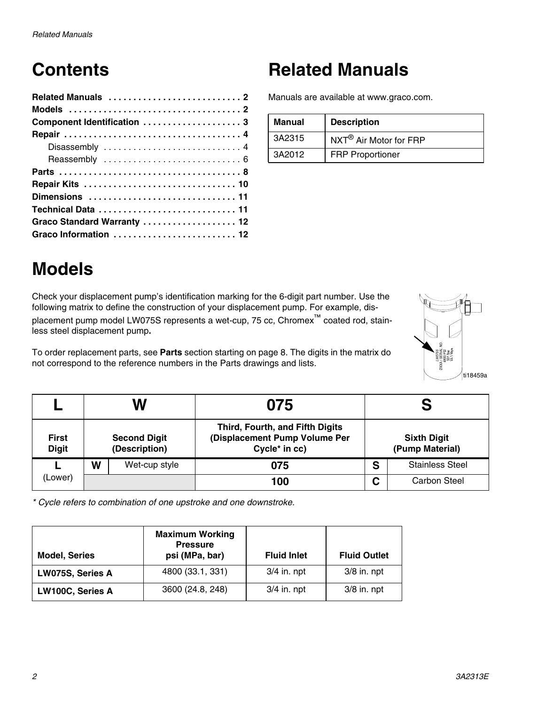## **Contents**

| Component Identification  3 |  |  |  |  |  |  |  |  |  |  |  |  |
|-----------------------------|--|--|--|--|--|--|--|--|--|--|--|--|
|                             |  |  |  |  |  |  |  |  |  |  |  |  |
| Disassembly  4              |  |  |  |  |  |  |  |  |  |  |  |  |
|                             |  |  |  |  |  |  |  |  |  |  |  |  |
|                             |  |  |  |  |  |  |  |  |  |  |  |  |
|                             |  |  |  |  |  |  |  |  |  |  |  |  |
|                             |  |  |  |  |  |  |  |  |  |  |  |  |
| Technical Data  11          |  |  |  |  |  |  |  |  |  |  |  |  |
| Graco Standard Warranty  12 |  |  |  |  |  |  |  |  |  |  |  |  |
| Graco Information  12       |  |  |  |  |  |  |  |  |  |  |  |  |

### **Related Manuals**

Manuals are available at www.graco.com.

| Manual | <b>Description</b>                 |
|--------|------------------------------------|
| 3A2315 | NXT <sup>®</sup> Air Motor for FRP |
| 3A2012 | <b>FRP Proportioner</b>            |

### <span id="page-1-0"></span>**Models**

Check your displacement pump's identification marking for the 6-digit part number. Use the following matrix to define the construction of your displacement pump. For example, displacement pump model LW075S represents a wet-cup, 75 cc, Chromex™ coated rod, stainless steel displacement pump**.**

To order replacement parts, see **[Parts](#page-7-0)** section starting on page [8.](#page-7-0) The digits in the matrix do not correspond to the reference numbers in the Parts drawings and lists.



|                              |   | W                                    |                                                                                   |   |                                       |  |  |  |
|------------------------------|---|--------------------------------------|-----------------------------------------------------------------------------------|---|---------------------------------------|--|--|--|
| <b>First</b><br><b>Digit</b> |   | <b>Second Digit</b><br>(Description) | Third, Fourth, and Fifth Digits<br>(Displacement Pump Volume Per<br>Cycle* in cc) |   | <b>Sixth Digit</b><br>(Pump Material) |  |  |  |
|                              | W | Wet-cup style                        | 075                                                                               | S | <b>Stainless Steel</b>                |  |  |  |
| (Lower)                      |   |                                      | 100                                                                               | С | <b>Carbon Steel</b>                   |  |  |  |

*\* Cycle refers to combination of one upstroke and one downstroke.*

| <b>Model, Series</b> | <b>Maximum Working</b><br><b>Pressure</b><br>psi (MPa, bar) | <b>Fluid Inlet</b> | <b>Fluid Outlet</b> |
|----------------------|-------------------------------------------------------------|--------------------|---------------------|
| LW075S, Series A     | 4800 (33.1, 331)                                            | $3/4$ in. npt      | $3/8$ in. npt       |
| LW100C, Series A     | 3600 (24.8, 248)                                            | $3/4$ in. npt      | $3/8$ in. npt       |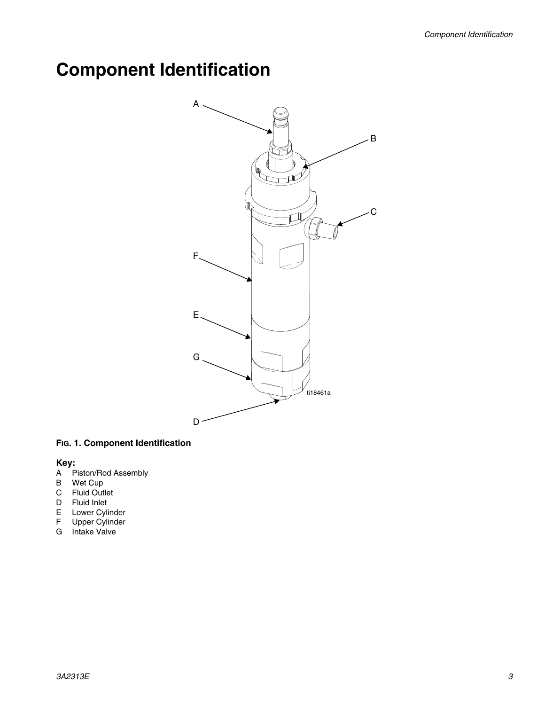### <span id="page-2-0"></span>**Component Identification**



#### **FIG. 1. Component Identification**

#### **Key:**

- A Piston/Rod Assembly
- B Wet Cup
- C Fluid Outlet
- D Fluid Inlet
- E Lower Cylinder
- F Upper Cylinder
- G Intake Valve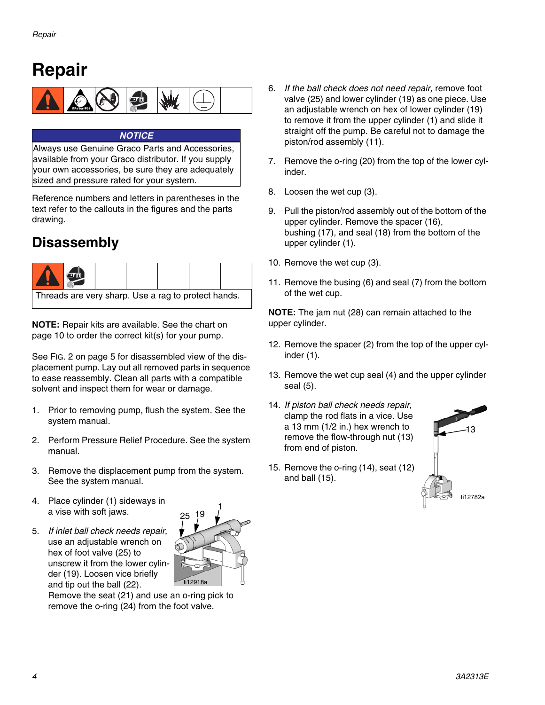### <span id="page-3-0"></span>**Repair**



#### *NOTICE*

Always use Genuine Graco Parts and Accessories, available from your Graco distributor. If you supply your own accessories, be sure they are adequately sized and pressure rated for your system.

Reference numbers and letters in parentheses in the text refer to the callouts in the figures and the parts drawing.

### <span id="page-3-1"></span>**Disassembly**



**NOTE:** Repair kits are available. See the chart on page [10](#page-9-0) to order the correct kit(s) for your pump.

See [FIG. 2](#page-4-0) on page [5](#page-4-0) for disassembled view of the displacement pump. Lay out all removed parts in sequence to ease reassembly. Clean all parts with a compatible solvent and inspect them for wear or damage.

- 1. Prior to removing pump, flush the system. See the system manual.
- 2. Perform Pressure Relief Procedure. See the system manual.
- 3. Remove the displacement pump from the system. See the system manual.
- 4. Place cylinder (1) sideways in a vise with soft jaws.
- 5. *If inlet ball check needs repair,* use an adjustable wrench on hex of foot valve (25) to unscrew it from the lower cylinder (19). Loosen vice briefly and tip out the ball (22).



Remove the seat (21) and use an o-ring pick to remove the o-ring (24) from the foot valve.

- 6. *If the ball check does not need repair,* remove foot valve (25) and lower cylinder (19) as one piece. Use an adjustable wrench on hex of lower cylinder (19) to remove it from the upper cylinder (1) and slide it straight off the pump. Be careful not to damage the piston/rod assembly (11).
- 7. Remove the o-ring (20) from the top of the lower cylinder.
- 8. Loosen the wet cup (3).
- 9. Pull the piston/rod assembly out of the bottom of the upper cylinder. Remove the spacer (16), bushing (17), and seal (18) from the bottom of the upper cylinder (1).
- 10. Remove the wet cup (3).
- 11. Remove the busing (6) and seal (7) from the bottom of the wet cup.

**NOTE:** The jam nut (28) can remain attached to the upper cylinder.

- 12. Remove the spacer (2) from the top of the upper cylinder (1).
- 13. Remove the wet cup seal (4) and the upper cylinder seal (5).
- 14. *If piston ball check needs repair,* clamp the rod flats in a vice. Use a 13 mm (1/2 in.) hex wrench to remove the flow-through nut (13) from end of piston.
- 15. Remove the o-ring (14), seat (12) and ball (15).

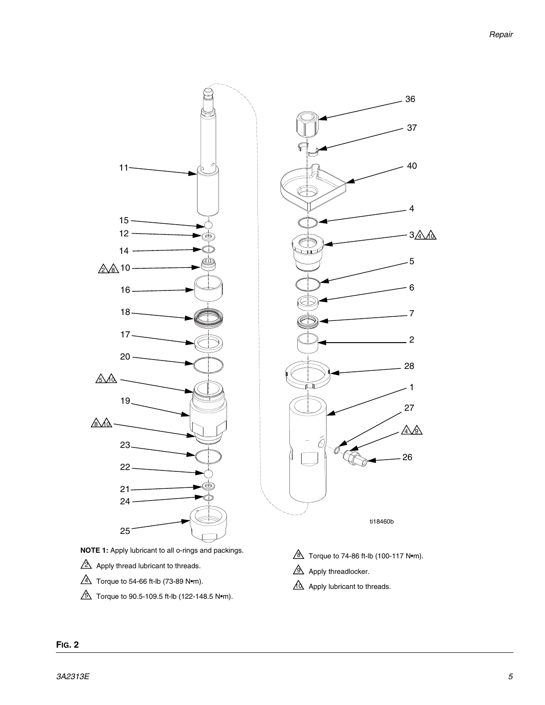

- $\Delta$  Torque to 54-66 ft-lb (73-89 N•m).
- <span id="page-4-0"></span> $\Delta$  Torque to 90.5-109.5 ft-lb (122-148.5 N•m).
- 
- 10 Apply lubricant to threads.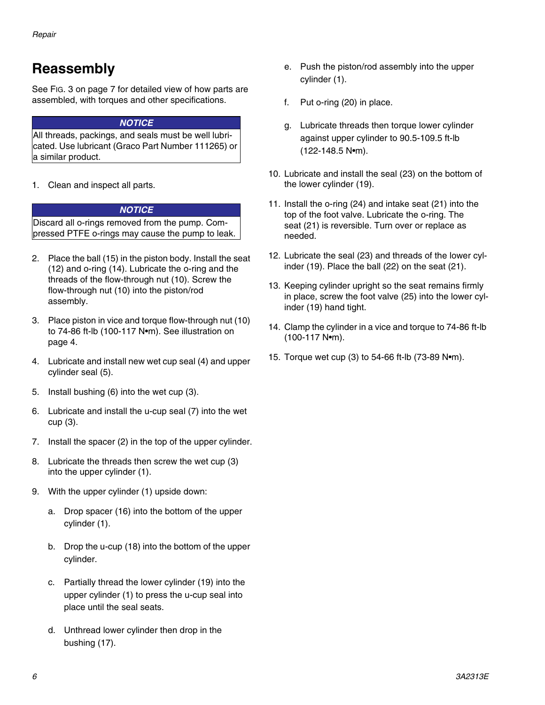### <span id="page-5-0"></span>**Reassembly**

See [FIG. 3](#page-6-0) on page [7](#page-6-0) for detailed view of how parts are assembled, with torques and other specifications.

#### *NOTICE*

All threads, packings, and seals must be well lubricated. Use lubricant (Graco Part Number 111265) or a similar product.

1. Clean and inspect all parts.

#### *NOTICE*

Discard all o-rings removed from the pump. Compressed PTFE o-rings may cause the pump to leak.

- 2. Place the ball (15) in the piston body. Install the seat (12) and o-ring (14). Lubricate the o-ring and the threads of the flow-through nut (10). Screw the flow-through nut (10) into the piston/rod assembly.
- 3. Place piston in vice and torque flow-through nut (10) to 74-86 ft-lb (100-117 N•m). See illustration on page [4.](#page-3-1)
- 4. Lubricate and install new wet cup seal (4) and upper cylinder seal (5).
- 5. Install bushing (6) into the wet cup (3).
- 6. Lubricate and install the u-cup seal (7) into the wet cup (3).
- 7. Install the spacer (2) in the top of the upper cylinder.
- 8. Lubricate the threads then screw the wet cup (3) into the upper cylinder (1).
- 9. With the upper cylinder (1) upside down:
	- a. Drop spacer (16) into the bottom of the upper cylinder (1).
	- b. Drop the u-cup (18) into the bottom of the upper cylinder.
	- c. Partially thread the lower cylinder (19) into the upper cylinder (1) to press the u-cup seal into place until the seal seats.
	- d. Unthread lower cylinder then drop in the bushing (17).
- e. Push the piston/rod assembly into the upper cylinder (1).
- f. Put o-ring (20) in place.
- g. Lubricate threads then torque lower cylinder against upper cylinder to 90.5-109.5 ft-lb (122-148.5 N•m).
- 10. Lubricate and install the seal (23) on the bottom of the lower cylinder (19).
- 11. Install the o-ring (24) and intake seat (21) into the top of the foot valve. Lubricate the o-ring. The seat (21) is reversible. Turn over or replace as needed.
- 12. Lubricate the seal (23) and threads of the lower cylinder (19). Place the ball (22) on the seat (21).
- 13. Keeping cylinder upright so the seat remains firmly in place, screw the foot valve (25) into the lower cylinder (19) hand tight.
- 14. Clamp the cylinder in a vice and torque to 74-86 ft-lb (100-117 N•m).
- 15. Torque wet cup (3) to 54-66 ft-lb (73-89 N•m).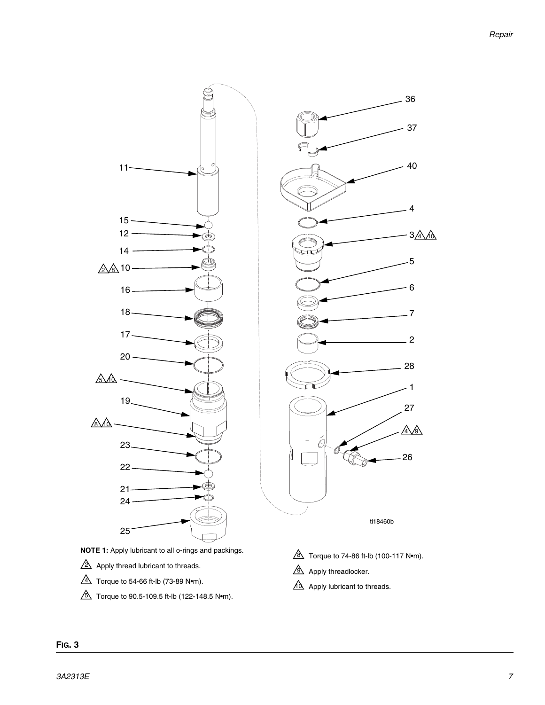

- $\Delta$  Torque to 54-66 ft-lb (73-89 N•m).
- <span id="page-6-0"></span> $\Delta$  Torque to 90.5-109.5 ft-lb (122-148.5 N•m).
- 
- 10 Apply lubricant to threads.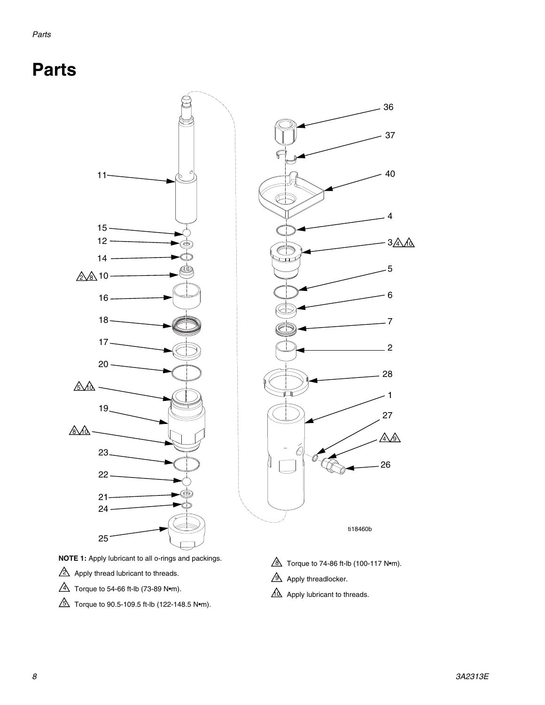### <span id="page-7-0"></span>**Parts**





- $2\Delta$  Apply thread lubricant to threads.
- $\overline{4}$  Torque to 54-66 ft-lb (73-89 N•m).
- $\bar{\mathbb{S}}$  Torque to 90.5-109.5 ft-lb (122-148.5 N•m).

ti18460b

<u>&</u> Torque to 74-86 ft-lb (100-117 N∙m).

 $\mathfrak{A}$  Apply threadlocker.

10 Apply lubricant to threads.

3<u>A\*A*∂</u>

<u>A A </u>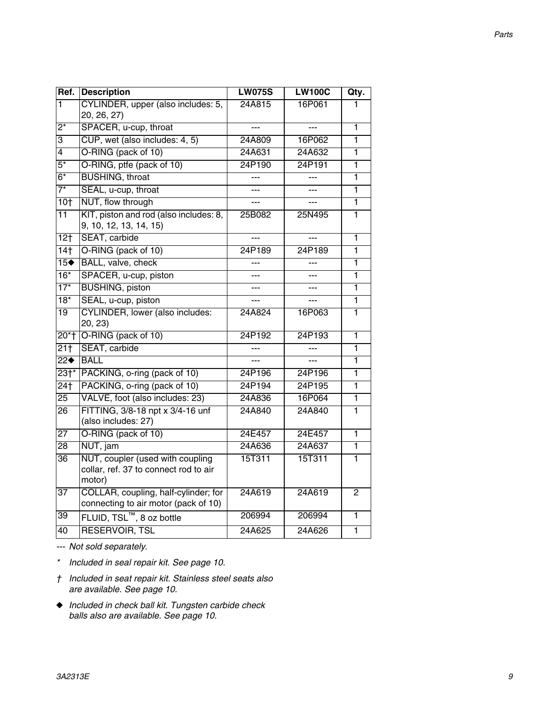| Ref.              | <b>Description</b>                                                                  | <b>LW075S</b> | <b>LW100C</b> | Qty.         |
|-------------------|-------------------------------------------------------------------------------------|---------------|---------------|--------------|
| ī                 | CYLINDER, upper (also includes: 5,<br>20, 26, 27)                                   | 24A815        | 16P061        | 1            |
| $2^*$             | SPACER, u-cup, throat                                                               |               |               | 1            |
| $\overline{3}$    | CUP, wet (also includes: 4, 5)                                                      | 24A809        | 16P062        | ī            |
| $\overline{4}$    | O-RING (pack of 10)                                                                 | 24A631        | 24A632        | ī            |
| $\overline{5^*}$  | O-RING, ptfe (pack of 10)                                                           | 24P190        | 24P191        | 1            |
| $\overline{6^*}$  | <b>BUSHING, throat</b>                                                              | ---           | ---           | ī            |
| $\overline{7}^*$  | SEAL, u-cup, throat                                                                 |               |               | ī            |
| 10 <sub>1</sub>   | NUT, flow through                                                                   | ---           |               | 1            |
| $\overline{11}$   | KIT, piston and rod (also includes: 8,<br>9, 10, 12, 13, 14, 15)                    | 25B082        | 25N495        | 1            |
| 12 <sub>1</sub>   | SEAT, carbide                                                                       |               |               | 1            |
| 14 <sub>†</sub>   | O-RING (pack of 10)                                                                 | 24P189        | 24P189        | 1            |
| 15 <sup>•</sup>   | BALL, valve, check                                                                  |               | ---           | ī            |
| $\overline{16^*}$ | SPACER, u-cup, piston                                                               |               | ---           | 1            |
| $17*$             | <b>BUSHING, piston</b>                                                              | ---           | ---           | 1            |
| $\overline{18^*}$ | SEAL, u-cup, piston                                                                 | ---           |               | 1            |
| $\overline{19}$   | <b>CYLINDER, lower (also includes:</b><br>20, 23)                                   | 24A824        | 16P063        | 1            |
| $20*$             | O-RING (pack of 10)                                                                 | 24P192        | 24P193        | 1            |
| $\overline{211}$  | SEAT, carbide                                                                       | ---           | ---           | 1            |
| $\overline{22}$   | <b>BALL</b>                                                                         |               |               | 1            |
| $23+$             | PACKING, o-ring (pack of 10)                                                        | 24P196        | 24P196        | 1            |
| $\overline{24}$   | PACKING, o-ring (pack of 10)                                                        | 24P194        | 24P195        | 1            |
| $\overline{25}$   | VALVE, foot (also includes: 23)                                                     | 24A836        | 16P064        | 1            |
| $\overline{26}$   | FITTING, 3/8-18 npt x 3/4-16 unf<br>(also includes: 27)                             | 24A840        | 24A840        | 1            |
| $\overline{27}$   | O-RING (pack of 10)                                                                 | 24E457        | 24E457        | 1            |
| $\overline{28}$   | NUT, jam                                                                            | 24A636        | 24A637        | ī            |
| $\overline{36}$   | NUT, coupler (used with coupling<br>collar, ref. 37 to connect rod to air<br>motor) | 15T311        | 15T311        | 1            |
| $\overline{37}$   | COLLAR, coupling, half-cylinder; for<br>connecting to air motor (pack of 10)        | 24A619        | 24A619        | $\mathbf{2}$ |
| $\overline{39}$   | FLUID, TSL <sup>™</sup> , 8 oz bottle                                               | 206994        | 206994        | 1            |
| $\overline{40}$   | <b>RESERVOIR, TSL</b>                                                               | 24A625        | 24A626        | 1            |

*--- Not sold separately.*

- *\* Included in seal repair kit. See page [10](#page-9-0).*
- *† Included in seat repair kit. Stainless steel seats also are available. See page [10](#page-9-0).*
- ◆ *Included in check ball kit. Tungsten carbide check balls also are available. See page [10.](#page-9-0)*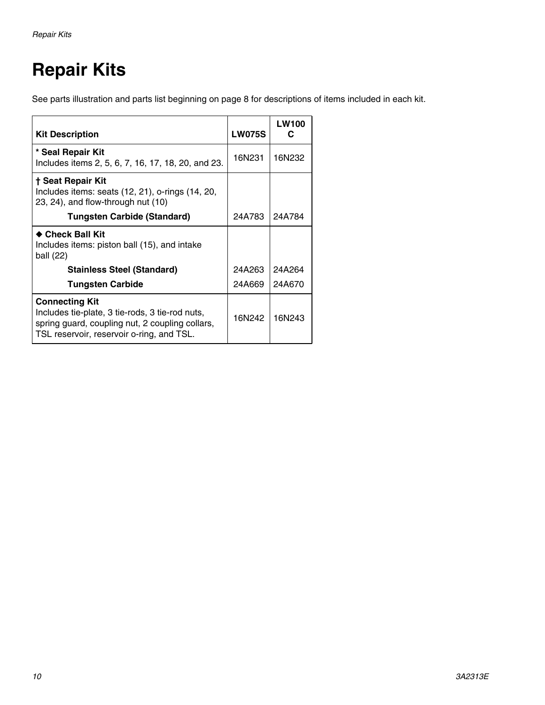# <span id="page-9-0"></span>**Repair Kits**

See parts illustration and parts list beginning on page [8](#page-7-0) for descriptions of items included in each kit.

| <b>Kit Description</b>                                                                                                                                                   | <b>LW075S</b> | <b>LW100</b> |
|--------------------------------------------------------------------------------------------------------------------------------------------------------------------------|---------------|--------------|
| * Seal Repair Kit<br>Includes items 2, 5, 6, 7, 16, 17, 18, 20, and 23.                                                                                                  | 16N231        | 16N232       |
| † Seat Repair Kit<br>Includes items: seats $(12, 21)$ , o-rings $(14, 20, 12)$<br>23, 24), and flow-through nut (10)                                                     |               |              |
| <b>Tungsten Carbide (Standard)</b>                                                                                                                                       | 24A783        | 24A784       |
| $\bullet$ Check Ball Kit<br>Includes items: piston ball (15), and intake<br>ball (22)                                                                                    |               |              |
| <b>Stainless Steel (Standard)</b>                                                                                                                                        | 24A263        | 24A264       |
| <b>Tungsten Carbide</b>                                                                                                                                                  | 24A669        | 24A670       |
| <b>Connecting Kit</b><br>Includes tie-plate, 3 tie-rods, 3 tie-rod nuts,<br>spring guard, coupling nut, 2 coupling collars,<br>TSL reservoir, reservoir o-ring, and TSL. | 16N242        | 16N243       |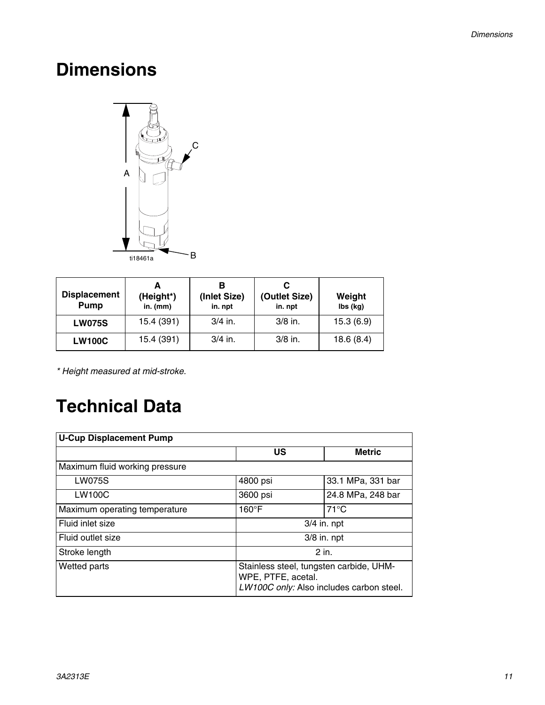### <span id="page-10-0"></span>**Dimensions**



| <b>Displacement</b><br>Pump | (Height*)<br>$in.$ (mm) | (Inlet Size)<br>in. npt | (Outlet Size)<br>in. npt | Weight<br>lbs (kg) |
|-----------------------------|-------------------------|-------------------------|--------------------------|--------------------|
| <b>LW075S</b>               | 15.4 (391)              | $3/4$ in.               | $3/8$ in.                | 15.3(6.9)          |
| <b>LW100C</b>               | 15.4 (391)              | $3/4$ in.               | $3/8$ in.                | 18.6(8.4)          |

*\* Height measured at mid-stroke.*

### <span id="page-10-1"></span>**Technical Data**

| <b>U-Cup Displacement Pump</b> |                                                                                                           |                   |  |  |  |
|--------------------------------|-----------------------------------------------------------------------------------------------------------|-------------------|--|--|--|
|                                | US                                                                                                        | <b>Metric</b>     |  |  |  |
| Maximum fluid working pressure |                                                                                                           |                   |  |  |  |
| <b>LW075S</b>                  | 4800 psi                                                                                                  | 33.1 MPa, 331 bar |  |  |  |
| <b>LW100C</b>                  | 3600 psi                                                                                                  | 24.8 MPa, 248 bar |  |  |  |
| Maximum operating temperature  | $160^{\circ}$ F                                                                                           | $71^{\circ}$ C    |  |  |  |
| Fluid inlet size               |                                                                                                           | $3/4$ in. npt     |  |  |  |
| Fluid outlet size              | $3/8$ in. npt                                                                                             |                   |  |  |  |
| Stroke length                  |                                                                                                           | $2$ in.           |  |  |  |
| Wetted parts                   | Stainless steel, tungsten carbide, UHM-<br>WPE, PTFE, acetal.<br>LW100C only: Also includes carbon steel. |                   |  |  |  |